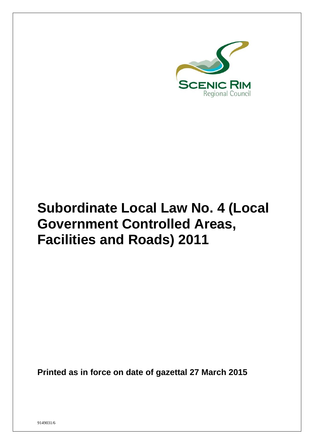

# **Subordinate Local Law No. 4 (Local Government Controlled Areas, Facilities and Roads) 2011**

**Printed as in force on date of gazettal 27 March 2015**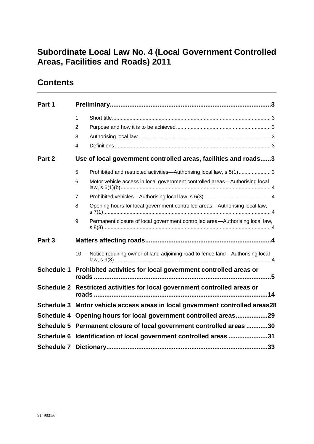## **Subordinate Local Law No. 4 (Local Government Controlled Areas, Facilities and Roads) 2011**

### **Contents**

| 1<br>2<br>3<br>4<br>Use of local government controlled areas, facilities and roads3<br>Prohibited and restricted activities—Authorising local law, s 5(1) 3<br>5<br>Motor vehicle access in local government controlled areas—Authorising local<br>6<br>7<br>Opening hours for local government controlled areas-Authorising local law,<br>8<br>9<br>Permanent closure of local government controlled area-Authorising local law,<br>10<br>Notice requiring owner of land adjoining road to fence land-Authorising local<br>Prohibited activities for local government controlled areas or<br><b>Schedule 1</b><br>Schedule 2 Restricted activities for local government controlled areas or<br>Schedule 3 Motor vehicle access areas in local government controlled areas28<br>Schedule 4 Opening hours for local government controlled areas29<br>Schedule 5 Permanent closure of local government controlled areas 30<br>Schedule 6 Identification of local government controlled areas 31 |        |  |  |  |  |  |  |
|-----------------------------------------------------------------------------------------------------------------------------------------------------------------------------------------------------------------------------------------------------------------------------------------------------------------------------------------------------------------------------------------------------------------------------------------------------------------------------------------------------------------------------------------------------------------------------------------------------------------------------------------------------------------------------------------------------------------------------------------------------------------------------------------------------------------------------------------------------------------------------------------------------------------------------------------------------------------------------------------------|--------|--|--|--|--|--|--|
|                                                                                                                                                                                                                                                                                                                                                                                                                                                                                                                                                                                                                                                                                                                                                                                                                                                                                                                                                                                               | Part 1 |  |  |  |  |  |  |
|                                                                                                                                                                                                                                                                                                                                                                                                                                                                                                                                                                                                                                                                                                                                                                                                                                                                                                                                                                                               |        |  |  |  |  |  |  |
|                                                                                                                                                                                                                                                                                                                                                                                                                                                                                                                                                                                                                                                                                                                                                                                                                                                                                                                                                                                               |        |  |  |  |  |  |  |
|                                                                                                                                                                                                                                                                                                                                                                                                                                                                                                                                                                                                                                                                                                                                                                                                                                                                                                                                                                                               |        |  |  |  |  |  |  |
|                                                                                                                                                                                                                                                                                                                                                                                                                                                                                                                                                                                                                                                                                                                                                                                                                                                                                                                                                                                               |        |  |  |  |  |  |  |
|                                                                                                                                                                                                                                                                                                                                                                                                                                                                                                                                                                                                                                                                                                                                                                                                                                                                                                                                                                                               | Part 2 |  |  |  |  |  |  |
|                                                                                                                                                                                                                                                                                                                                                                                                                                                                                                                                                                                                                                                                                                                                                                                                                                                                                                                                                                                               |        |  |  |  |  |  |  |
|                                                                                                                                                                                                                                                                                                                                                                                                                                                                                                                                                                                                                                                                                                                                                                                                                                                                                                                                                                                               |        |  |  |  |  |  |  |
|                                                                                                                                                                                                                                                                                                                                                                                                                                                                                                                                                                                                                                                                                                                                                                                                                                                                                                                                                                                               |        |  |  |  |  |  |  |
|                                                                                                                                                                                                                                                                                                                                                                                                                                                                                                                                                                                                                                                                                                                                                                                                                                                                                                                                                                                               |        |  |  |  |  |  |  |
|                                                                                                                                                                                                                                                                                                                                                                                                                                                                                                                                                                                                                                                                                                                                                                                                                                                                                                                                                                                               |        |  |  |  |  |  |  |
|                                                                                                                                                                                                                                                                                                                                                                                                                                                                                                                                                                                                                                                                                                                                                                                                                                                                                                                                                                                               | Part 3 |  |  |  |  |  |  |
|                                                                                                                                                                                                                                                                                                                                                                                                                                                                                                                                                                                                                                                                                                                                                                                                                                                                                                                                                                                               |        |  |  |  |  |  |  |
|                                                                                                                                                                                                                                                                                                                                                                                                                                                                                                                                                                                                                                                                                                                                                                                                                                                                                                                                                                                               |        |  |  |  |  |  |  |
|                                                                                                                                                                                                                                                                                                                                                                                                                                                                                                                                                                                                                                                                                                                                                                                                                                                                                                                                                                                               |        |  |  |  |  |  |  |
|                                                                                                                                                                                                                                                                                                                                                                                                                                                                                                                                                                                                                                                                                                                                                                                                                                                                                                                                                                                               |        |  |  |  |  |  |  |
|                                                                                                                                                                                                                                                                                                                                                                                                                                                                                                                                                                                                                                                                                                                                                                                                                                                                                                                                                                                               |        |  |  |  |  |  |  |
|                                                                                                                                                                                                                                                                                                                                                                                                                                                                                                                                                                                                                                                                                                                                                                                                                                                                                                                                                                                               |        |  |  |  |  |  |  |
|                                                                                                                                                                                                                                                                                                                                                                                                                                                                                                                                                                                                                                                                                                                                                                                                                                                                                                                                                                                               |        |  |  |  |  |  |  |
|                                                                                                                                                                                                                                                                                                                                                                                                                                                                                                                                                                                                                                                                                                                                                                                                                                                                                                                                                                                               |        |  |  |  |  |  |  |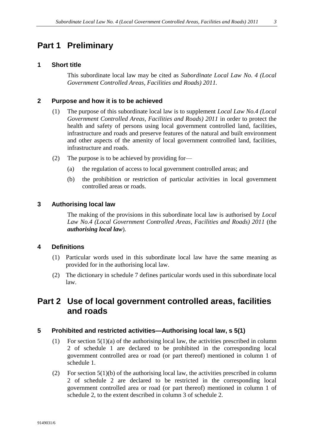### <span id="page-2-0"></span>**Part 1 Preliminary**

#### <span id="page-2-1"></span>**1 Short title**

This subordinate local law may be cited as *Subordinate Local Law No. 4 (Local Government Controlled Areas, Facilities and Roads) 2011.*

#### <span id="page-2-2"></span>**2 Purpose and how it is to be achieved**

- (1) The purpose of this subordinate local law is to supplement *Local Law No.4 (Local Government Controlled Areas, Facilities and Roads) 2011* in order to protect the health and safety of persons using local government controlled land, facilities, infrastructure and roads and preserve features of the natural and built environment and other aspects of the amenity of local government controlled land, facilities, infrastructure and roads.
- (2) The purpose is to be achieved by providing for—
	- (a) the regulation of access to local government controlled areas; and
	- (b) the prohibition or restriction of particular activities in local government controlled areas or roads.

#### <span id="page-2-3"></span>**3 Authorising local law**

The making of the provisions in this subordinate local law is authorised by *Local Law No.4 (Local Government Controlled Areas, Facilities and Roads) 2011* (the *authorising local law*)*.*

#### <span id="page-2-4"></span>**4 Definitions**

- (1) Particular words used in this subordinate local law have the same meaning as provided for in the authorising local law.
- (2) The dictionary in schedule 7 defines particular words used in this subordinate local law.

### <span id="page-2-5"></span>**Part 2 Use of local government controlled areas, facilities and roads**

#### <span id="page-2-6"></span>**5 Prohibited and restricted activities—Authorising local law, s 5(1)**

- (1) For section 5(1)(a) of the authorising local law, the activities prescribed in column 2 of schedule 1 are declared to be prohibited in the corresponding local government controlled area or road (or part thereof) mentioned in column 1 of schedule 1.
- (2) For section 5(1)(b) of the authorising local law, the activities prescribed in column 2 of schedule 2 are declared to be restricted in the corresponding local government controlled area or road (or part thereof) mentioned in column 1 of schedule 2, to the extent described in column 3 of schedule 2.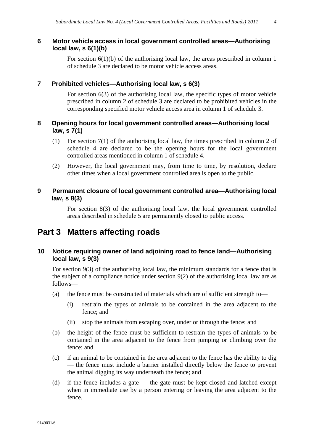### <span id="page-3-0"></span>**6 Motor vehicle access in local government controlled areas—Authorising local law, s 6(1)(b)**

For section  $6(1)(b)$  of the authorising local law, the areas prescribed in column 1 of schedule 3 are declared to be motor vehicle access areas.

### <span id="page-3-1"></span>**7 Prohibited vehicles—Authorising local law, s 6(3)**

For section 6(3) of the authorising local law, the specific types of motor vehicle prescribed in column 2 of schedule 3 are declared to be prohibited vehicles in the corresponding specified motor vehicle access area in column 1 of schedule 3.

### <span id="page-3-2"></span>**8 Opening hours for local government controlled areas—Authorising local law, s 7(1)**

- (1) For section 7(1) of the authorising local law, the times prescribed in column 2 of schedule 4 are declared to be the opening hours for the local government controlled areas mentioned in column 1 of schedule 4.
- (2) However, the local government may, from time to time, by resolution, declare other times when a local government controlled area is open to the public.

### <span id="page-3-3"></span>**9 Permanent closure of local government controlled area—Authorising local law, s 8(3)**

For section 8(3) of the authorising local law, the local government controlled areas described in schedule 5 are permanently closed to public access.

### <span id="page-3-4"></span>**Part 3 Matters affecting roads**

### <span id="page-3-5"></span>**10 Notice requiring owner of land adjoining road to fence land—Authorising local law, s 9(3)**

For section 9(3) of the authorising local law, the minimum standards for a fence that is the subject of a compliance notice under section 9(2) of the authorising local law are as follows—

- (a) the fence must be constructed of materials which are of sufficient strength to—
	- (i) restrain the types of animals to be contained in the area adjacent to the fence; and
	- (ii) stop the animals from escaping over, under or through the fence; and
- (b) the height of the fence must be sufficient to restrain the types of animals to be contained in the area adjacent to the fence from jumping or climbing over the fence; and
- (c) if an animal to be contained in the area adjacent to the fence has the ability to dig — the fence must include a barrier installed directly below the fence to prevent the animal digging its way underneath the fence; and
- (d) if the fence includes a gate the gate must be kept closed and latched except when in immediate use by a person entering or leaving the area adjacent to the fence.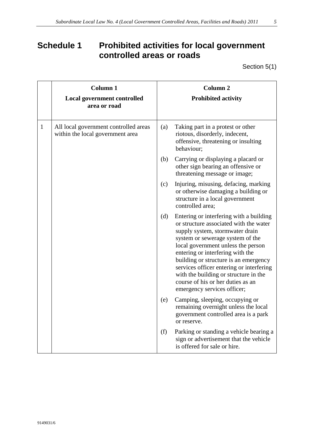# <span id="page-4-0"></span>**Schedule 1 Prohibited activities for local government controlled areas or roads**

Section 5(1)

|              | <b>Column 1</b><br><b>Local government controlled</b><br>area or road     |     | <b>Column 2</b><br><b>Prohibited activity</b>                                                                                                                                                                                                                                                                                                                                                                                        |
|--------------|---------------------------------------------------------------------------|-----|--------------------------------------------------------------------------------------------------------------------------------------------------------------------------------------------------------------------------------------------------------------------------------------------------------------------------------------------------------------------------------------------------------------------------------------|
| $\mathbf{1}$ | All local government controlled areas<br>within the local government area | (a) | Taking part in a protest or other<br>riotous, disorderly, indecent,<br>offensive, threatening or insulting<br>behaviour;                                                                                                                                                                                                                                                                                                             |
|              |                                                                           | (b) | Carrying or displaying a placard or<br>other sign bearing an offensive or<br>threatening message or image;                                                                                                                                                                                                                                                                                                                           |
|              |                                                                           | (c) | Injuring, misusing, defacing, marking<br>or otherwise damaging a building or<br>structure in a local government<br>controlled area;                                                                                                                                                                                                                                                                                                  |
|              |                                                                           | (d) | Entering or interfering with a building<br>or structure associated with the water<br>supply system, stormwater drain<br>system or sewerage system of the<br>local government unless the person<br>entering or interfering with the<br>building or structure is an emergency<br>services officer entering or interfering<br>with the building or structure in the<br>course of his or her duties as an<br>emergency services officer; |
|              |                                                                           | (e) | Camping, sleeping, occupying or<br>remaining overnight unless the local<br>government controlled area is a park<br>or reserve.                                                                                                                                                                                                                                                                                                       |
|              |                                                                           | (f) | Parking or standing a vehicle bearing a<br>sign or advertisement that the vehicle<br>is offered for sale or hire.                                                                                                                                                                                                                                                                                                                    |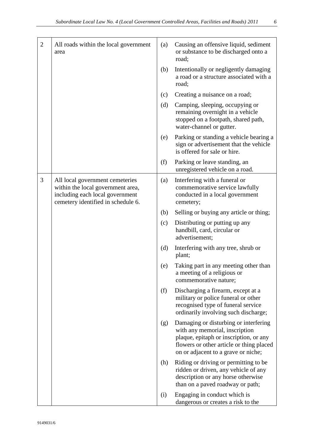| $\overline{2}$ | All roads within the local government<br>area                                                                                                 | (a) | Causing an offensive liquid, sediment<br>or substance to be discharged onto a<br>road;                                                                                                               |
|----------------|-----------------------------------------------------------------------------------------------------------------------------------------------|-----|------------------------------------------------------------------------------------------------------------------------------------------------------------------------------------------------------|
|                |                                                                                                                                               | (b) | Intentionally or negligently damaging<br>a road or a structure associated with a<br>road;                                                                                                            |
|                |                                                                                                                                               | (c) | Creating a nuisance on a road;                                                                                                                                                                       |
|                |                                                                                                                                               | (d) | Camping, sleeping, occupying or<br>remaining overnight in a vehicle<br>stopped on a footpath, shared path,<br>water-channel or gutter.                                                               |
|                |                                                                                                                                               | (e) | Parking or standing a vehicle bearing a<br>sign or advertisement that the vehicle<br>is offered for sale or hire.                                                                                    |
|                |                                                                                                                                               | (f) | Parking or leave standing, an<br>unregistered vehicle on a road.                                                                                                                                     |
| 3              | All local government cemeteries<br>within the local government area,<br>including each local government<br>cemetery identified in schedule 6. | (a) | Interfering with a funeral or<br>commemorative service lawfully<br>conducted in a local government<br>cemetery;                                                                                      |
|                |                                                                                                                                               | (b) | Selling or buying any article or thing;                                                                                                                                                              |
|                |                                                                                                                                               | (c) | Distributing or putting up any<br>handbill, card, circular or<br>advertisement;                                                                                                                      |
|                |                                                                                                                                               | (d) | Interfering with any tree, shrub or<br>plant;                                                                                                                                                        |
|                |                                                                                                                                               | (e) | Taking part in any meeting other than<br>a meeting of a religious or<br>commemorative nature;                                                                                                        |
|                |                                                                                                                                               | (f) | Discharging a firearm, except at a<br>military or police funeral or other<br>recognised type of funeral service<br>ordinarily involving such discharge;                                              |
|                |                                                                                                                                               | (g) | Damaging or disturbing or interfering<br>with any memorial, inscription<br>plaque, epitaph or inscription, or any<br>flowers or other article or thing placed<br>on or adjacent to a grave or niche; |
|                |                                                                                                                                               | (h) | Riding or driving or permitting to be<br>ridden or driven, any vehicle of any<br>description or any horse otherwise<br>than on a paved roadway or path;                                              |
|                |                                                                                                                                               | (i) | Engaging in conduct which is<br>dangerous or creates a risk to the                                                                                                                                   |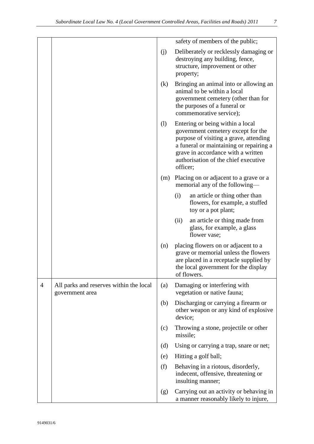|                            | safety of members of the public;                                                                                                                                                                                                                      |
|----------------------------|-------------------------------------------------------------------------------------------------------------------------------------------------------------------------------------------------------------------------------------------------------|
| (j)                        | Deliberately or recklessly damaging or<br>destroying any building, fence,<br>structure, improvement or other<br>property;                                                                                                                             |
| (k)                        | Bringing an animal into or allowing an<br>animal to be within a local<br>government cemetery (other than for<br>the purposes of a funeral or<br>commemorative service);                                                                               |
| $\left( \mathbf{l}\right)$ | Entering or being within a local<br>government cemetery except for the<br>purpose of visiting a grave, attending<br>a funeral or maintaining or repairing a<br>grave in accordance with a written<br>authorisation of the chief executive<br>officer; |
| (m)                        | Placing on or adjacent to a grave or a<br>memorial any of the following—                                                                                                                                                                              |
|                            | an article or thing other than<br>(i)                                                                                                                                                                                                                 |

flowers, for example, a stuffed

a manner reasonably likely to injure,

toy or a pot plant; (ii) an article or thing made from glass, for example, a glass flower vase; (n) placing flowers on or adjacent to a grave or memorial unless the flowers are placed in a receptacle supplied by the local government for the display of flowers. 4 All parks and reserves within the local government area (a) Damaging or interfering with vegetation or native fauna; (b) Discharging or carrying a firearm or other weapon or any kind of explosive device; (c) Throwing a stone, projectile or other missile; (d) Using or carrying a trap, snare or net; (e) Hitting a golf ball; (f) Behaving in a riotous, disorderly, indecent, offensive, threatening or insulting manner; (g) Carrying out an activity or behaving in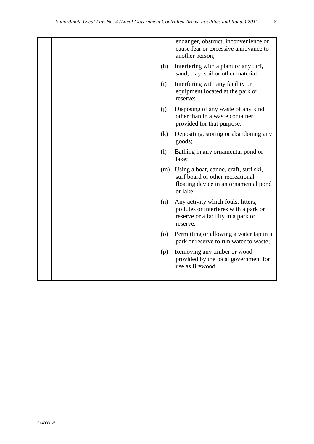|  |                    | endanger, obstruct, inconvenience or<br>cause fear or excessive annoyance to<br>another person;                                |
|--|--------------------|--------------------------------------------------------------------------------------------------------------------------------|
|  | (h)                | Interfering with a plant or any turf,<br>sand, clay, soil or other material;                                                   |
|  | (i)                | Interfering with any facility or<br>equipment located at the park or<br>reserve;                                               |
|  | (i)                | Disposing of any waste of any kind<br>other than in a waste container<br>provided for that purpose;                            |
|  | (k)                | Depositing, storing or abandoning any<br>goods;                                                                                |
|  | (1)                | Bathing in any ornamental pond or<br>lake;                                                                                     |
|  | (m)                | Using a boat, canoe, craft, surf ski,<br>surf board or other recreational<br>floating device in an ornamental pond<br>or lake; |
|  | (n)                | Any activity which fouls, litters,<br>pollutes or interferes with a park or<br>reserve or a facility in a park or<br>reserve;  |
|  | $\left( 0 \right)$ | Permitting or allowing a water tap in a<br>park or reserve to run water to waste;                                              |
|  | (p)                | Removing any timber or wood<br>provided by the local government for<br>use as firewood.                                        |
|  |                    |                                                                                                                                |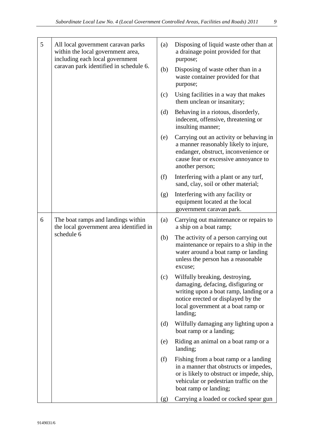|   | uborumun Locui Luiv III. T-Locui Obvernment Controlleu III eus, I achines anu Itouas) 2011                                                           |     |                                                                                                                                                                                     |
|---|------------------------------------------------------------------------------------------------------------------------------------------------------|-----|-------------------------------------------------------------------------------------------------------------------------------------------------------------------------------------|
|   |                                                                                                                                                      |     |                                                                                                                                                                                     |
| 5 | All local government caravan parks<br>within the local government area,<br>including each local government<br>caravan park identified in schedule 6. | (a) | Disposing of liquid waste other than at<br>a drainage point provided for that<br>purpose;                                                                                           |
|   |                                                                                                                                                      | (b) | Disposing of waste other than in a<br>waste container provided for that<br>purpose;                                                                                                 |
|   |                                                                                                                                                      | (c) | Using facilities in a way that makes<br>them unclean or insanitary;                                                                                                                 |
|   |                                                                                                                                                      | (d) | Behaving in a riotous, disorderly,<br>indecent, offensive, threatening or<br>insulting manner;                                                                                      |
|   |                                                                                                                                                      | (e) | Carrying out an activity or behaving in<br>a manner reasonably likely to injure,<br>endanger, obstruct, inconvenience or<br>cause fear or excessive annoyance to<br>another person; |
|   |                                                                                                                                                      | (f) | Interfering with a plant or any turf,<br>sand, clay, soil or other material;                                                                                                        |
|   |                                                                                                                                                      | (g) | Interfering with any facility or<br>equipment located at the local<br>government caravan park.                                                                                      |
| 6 | The boat ramps and landings within                                                                                                                   | (a) | Carrying out maintenance or repairs to                                                                                                                                              |

| 6 | The boat ramps and landings within<br>the local government area identified in<br>schedule 6 | (a) | Carrying out maintenance or repairs to<br>a ship on a boat ramp;                                                                                                                                       |
|---|---------------------------------------------------------------------------------------------|-----|--------------------------------------------------------------------------------------------------------------------------------------------------------------------------------------------------------|
|   |                                                                                             | (b) | The activity of a person carrying out<br>maintenance or repairs to a ship in the<br>water around a boat ramp or landing<br>unless the person has a reasonable<br>excuse;                               |
|   |                                                                                             | (c) | Wilfully breaking, destroying,<br>damaging, defacing, disfiguring or<br>writing upon a boat ramp, landing or a<br>notice erected or displayed by the<br>local government at a boat ramp or<br>landing; |
|   |                                                                                             | (d) | Wilfully damaging any lighting upon a<br>boat ramp or a landing;                                                                                                                                       |
|   |                                                                                             | (e) | Riding an animal on a boat ramp or a<br>landing;                                                                                                                                                       |
|   |                                                                                             | (f) | Fishing from a boat ramp or a landing<br>in a manner that obstructs or impedes,<br>or is likely to obstruct or impede, ship,<br>vehicular or pedestrian traffic on the<br>boat ramp or landing;        |
|   |                                                                                             | (g) | Carrying a loaded or cocked spear gun                                                                                                                                                                  |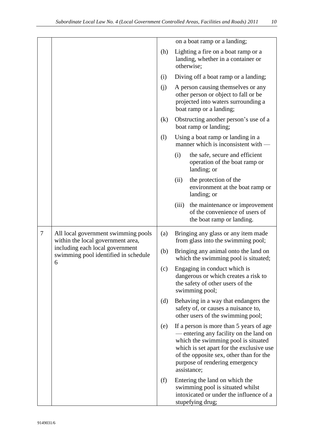|        |                                                                                                                                                          |     |       | on a boat ramp or a landing;                                                                                                                                                                                                                                     |
|--------|----------------------------------------------------------------------------------------------------------------------------------------------------------|-----|-------|------------------------------------------------------------------------------------------------------------------------------------------------------------------------------------------------------------------------------------------------------------------|
|        |                                                                                                                                                          | (h) |       | Lighting a fire on a boat ramp or a<br>landing, whether in a container or<br>otherwise;                                                                                                                                                                          |
|        |                                                                                                                                                          |     |       | Diving off a boat ramp or a landing;                                                                                                                                                                                                                             |
|        |                                                                                                                                                          | (j) |       | A person causing themselves or any<br>other person or object to fall or be<br>projected into waters surrounding a<br>boat ramp or a landing;                                                                                                                     |
|        |                                                                                                                                                          | (k) |       | Obstructing another person's use of a<br>boat ramp or landing;                                                                                                                                                                                                   |
|        |                                                                                                                                                          | (1) |       | Using a boat ramp or landing in a<br>manner which is inconsistent with -                                                                                                                                                                                         |
|        |                                                                                                                                                          |     | (i)   | the safe, secure and efficient<br>operation of the boat ramp or<br>landing; or                                                                                                                                                                                   |
|        |                                                                                                                                                          |     | (ii)  | the protection of the<br>environment at the boat ramp or<br>landing; or                                                                                                                                                                                          |
|        |                                                                                                                                                          |     | (iii) | the maintenance or improvement<br>of the convenience of users of<br>the boat ramp or landing.                                                                                                                                                                    |
| $\tau$ | All local government swimming pools<br>within the local government area,<br>including each local government<br>swimming pool identified in schedule<br>6 | (a) |       | Bringing any glass or any item made<br>from glass into the swimming pool;                                                                                                                                                                                        |
|        |                                                                                                                                                          | (b) |       | Bringing any animal onto the land on<br>which the swimming pool is situated;                                                                                                                                                                                     |
|        |                                                                                                                                                          | (c) |       | Engaging in conduct which is<br>dangerous or which creates a risk to<br>the safety of other users of the<br>swimming pool;                                                                                                                                       |
|        |                                                                                                                                                          | (d) |       | Behaving in a way that endangers the<br>safety of, or causes a nuisance to,<br>other users of the swimming pool;                                                                                                                                                 |
|        |                                                                                                                                                          | (e) |       | If a person is more than 5 years of age<br>— entering any facility on the land on<br>which the swimming pool is situated<br>which is set apart for the exclusive use<br>of the opposite sex, other than for the<br>purpose of rendering emergency<br>assistance; |
|        |                                                                                                                                                          | (f) |       | Entering the land on which the<br>swimming pool is situated whilst<br>intoxicated or under the influence of a<br>stupefying drug;                                                                                                                                |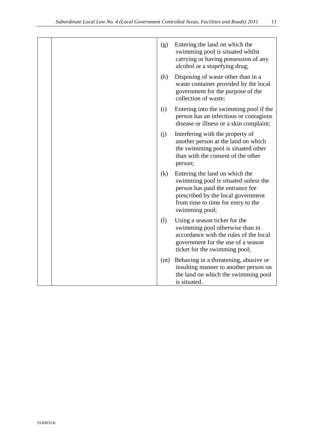|  | (g) | Entering the land on which the<br>swimming pool is situated whilst<br>carrying or having possession of any<br>alcohol or a stupefying drug;                                                              |
|--|-----|----------------------------------------------------------------------------------------------------------------------------------------------------------------------------------------------------------|
|  | (h) | Disposing of waste other than in a<br>waste container provided by the local<br>government for the purpose of the<br>collection of waste;                                                                 |
|  | (i) | Entering into the swimming pool if the<br>person has an infectious or contagious<br>disease or illness or a skin complaint;                                                                              |
|  | (i) | Interfering with the property of<br>another person at the land on which<br>the swimming pool is situated other<br>than with the consent of the other<br>person;                                          |
|  | (k) | Entering the land on which the<br>swimming pool is situated unless the<br>person has paid the entrance fee<br>prescribed by the local government<br>from time to time for entry to the<br>swimming pool; |
|  | (1) | Using a season ticket for the<br>swimming pool otherwise than in<br>accordance with the rules of the local<br>government for the use of a season<br>ticket for the swimming pool;                        |
|  | (m) | Behaving in a threatening, abusive or<br>insulting manner to another person on<br>the land on which the swimming pool<br>is situated.                                                                    |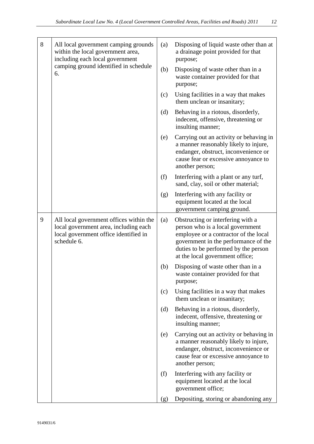| 8 | All local government camping grounds<br>within the local government area,<br>including each local government<br>camping ground identified in schedule<br>6. | (a) | Disposing of liquid waste other than at<br>a drainage point provided for that<br>purpose;                                                                                                                                         |
|---|-------------------------------------------------------------------------------------------------------------------------------------------------------------|-----|-----------------------------------------------------------------------------------------------------------------------------------------------------------------------------------------------------------------------------------|
|   |                                                                                                                                                             | (b) | Disposing of waste other than in a<br>waste container provided for that<br>purpose;                                                                                                                                               |
|   |                                                                                                                                                             | (c) | Using facilities in a way that makes<br>them unclean or insanitary;                                                                                                                                                               |
|   |                                                                                                                                                             | (d) | Behaving in a riotous, disorderly,<br>indecent, offensive, threatening or<br>insulting manner;                                                                                                                                    |
|   |                                                                                                                                                             | (e) | Carrying out an activity or behaving in<br>a manner reasonably likely to injure,<br>endanger, obstruct, inconvenience or<br>cause fear or excessive annoyance to<br>another person;                                               |
|   |                                                                                                                                                             | (f) | Interfering with a plant or any turf,<br>sand, clay, soil or other material;                                                                                                                                                      |
|   |                                                                                                                                                             | (g) | Interfering with any facility or<br>equipment located at the local<br>government camping ground.                                                                                                                                  |
| 9 | All local government offices within the<br>local government area, including each<br>local government office identified in<br>schedule 6.                    | (a) | Obstructing or interfering with a<br>person who is a local government<br>employee or a contractor of the local<br>government in the performance of the<br>duties to be performed by the person<br>at the local government office; |
|   |                                                                                                                                                             | (b) | Disposing of waste other than in a<br>waste container provided for that<br>purpose;                                                                                                                                               |
|   |                                                                                                                                                             | (c) | Using facilities in a way that makes<br>them unclean or insanitary;                                                                                                                                                               |
|   |                                                                                                                                                             | (d) | Behaving in a riotous, disorderly,<br>indecent, offensive, threatening or<br>insulting manner;                                                                                                                                    |
|   |                                                                                                                                                             | (e) | Carrying out an activity or behaving in<br>a manner reasonably likely to injure,<br>endanger, obstruct, inconvenience or<br>cause fear or excessive annoyance to<br>another person;                                               |
|   |                                                                                                                                                             | (f) | Interfering with any facility or<br>equipment located at the local<br>government office;                                                                                                                                          |
|   |                                                                                                                                                             | (g) | Depositing, storing or abandoning any                                                                                                                                                                                             |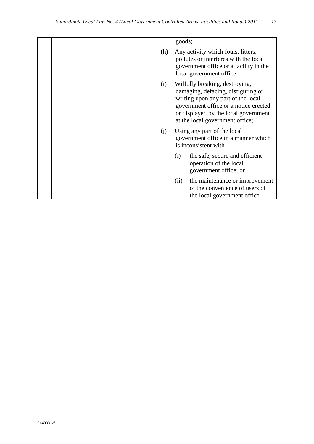|     | goods;                                                                                                                                                                                                                         |
|-----|--------------------------------------------------------------------------------------------------------------------------------------------------------------------------------------------------------------------------------|
| (h) | Any activity which fouls, litters,<br>pollutes or interferes with the local<br>government office or a facility in the<br>local government office;                                                                              |
| (i) | Wilfully breaking, destroying,<br>damaging, defacing, disfiguring or<br>writing upon any part of the local<br>government office or a notice erected<br>or displayed by the local government<br>at the local government office; |
| (j) | Using any part of the local<br>government office in a manner which<br>is inconsistent with-                                                                                                                                    |
|     | the safe, secure and efficient<br>(i)<br>operation of the local<br>government office; or                                                                                                                                       |
|     | the maintenance or improvement<br>(ii)<br>of the convenience of users of<br>the local government office.                                                                                                                       |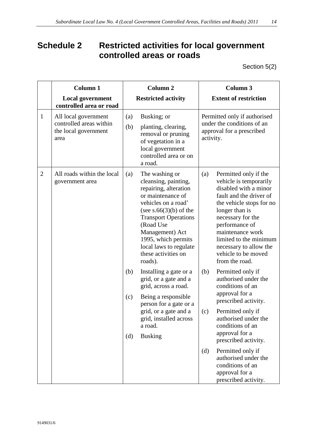# <span id="page-13-0"></span>**Schedule 2 Restricted activities for local government controlled areas or roads**

Section 5(2)

|                | Column 1                                                                        |            | <b>Column 2</b>                                                                                                                                                                                                                                                                           | <b>Column 3</b>                                                                                                                                                                                                                                                                                                  |
|----------------|---------------------------------------------------------------------------------|------------|-------------------------------------------------------------------------------------------------------------------------------------------------------------------------------------------------------------------------------------------------------------------------------------------|------------------------------------------------------------------------------------------------------------------------------------------------------------------------------------------------------------------------------------------------------------------------------------------------------------------|
|                | <b>Local government</b><br>controlled area or road                              |            | <b>Restricted activity</b>                                                                                                                                                                                                                                                                | <b>Extent of restriction</b>                                                                                                                                                                                                                                                                                     |
| $\mathbf{1}$   | All local government<br>controlled areas within<br>the local government<br>area | (a)<br>(b) | Busking; or<br>planting, clearing,<br>removal or pruning<br>of vegetation in a<br>local government<br>controlled area or on<br>a road.                                                                                                                                                    | Permitted only if authorised<br>under the conditions of an<br>approval for a prescribed<br>activity.                                                                                                                                                                                                             |
| $\overline{2}$ | All roads within the local<br>government area                                   | (a)        | The washing or<br>cleansing, painting,<br>repairing, alteration<br>or maintenance of<br>vehicles on a road'<br>(see $s.66(3)(b)$ of the<br><b>Transport Operations</b><br>(Road Use<br>Management) Act<br>1995, which permits<br>local laws to regulate<br>these activities on<br>roads). | Permitted only if the<br>(a)<br>vehicle is temporarily<br>disabled with a minor<br>fault and the driver of<br>the vehicle stops for no<br>longer than is<br>necessary for the<br>performance of<br>maintenance work<br>limited to the minimum<br>necessary to allow the<br>vehicle to be moved<br>from the road. |
|                |                                                                                 | (b)<br>(c) | Installing a gate or a<br>grid, or a gate and a<br>grid, across a road.<br>Being a responsible<br>person for a gate or a<br>grid, or a gate and a                                                                                                                                         | Permitted only if<br>(b)<br>authorised under the<br>conditions of an<br>approval for a<br>prescribed activity.<br>Permitted only if<br>(c)                                                                                                                                                                       |
|                |                                                                                 | (d)        | grid, installed across<br>a road.<br><b>Busking</b>                                                                                                                                                                                                                                       | authorised under the<br>conditions of an<br>approval for a<br>prescribed activity.<br>Permitted only if<br>(d)<br>authorised under the<br>conditions of an                                                                                                                                                       |
|                |                                                                                 |            |                                                                                                                                                                                                                                                                                           | approval for a<br>prescribed activity.                                                                                                                                                                                                                                                                           |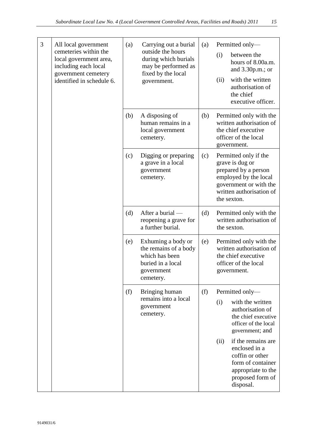| 3 | All local government<br>cemeteries within the<br>local government area,<br>including each local<br>government cemetery<br>identified in schedule 6. | (a) | Carrying out a burial<br>outside the hours<br>during which burials<br>may be performed as<br>fixed by the local<br>government. | (a) | Permitted only-<br>between the<br>(i)<br>hours of 8.00a.m.<br>and $3.30p.m.;$ or<br>with the written<br>(ii)<br>authorisation of<br>the chief<br>executive officer.                                                     |
|---|-----------------------------------------------------------------------------------------------------------------------------------------------------|-----|--------------------------------------------------------------------------------------------------------------------------------|-----|-------------------------------------------------------------------------------------------------------------------------------------------------------------------------------------------------------------------------|
|   |                                                                                                                                                     | (b) | A disposing of<br>human remains in a<br>local government<br>cemetery.                                                          | (b) | Permitted only with the<br>written authorisation of<br>the chief executive<br>officer of the local<br>government.                                                                                                       |
|   |                                                                                                                                                     | (c) | Digging or preparing<br>a grave in a local<br>government<br>cemetery.                                                          | (c) | Permitted only if the<br>grave is dug or<br>prepared by a person<br>employed by the local<br>government or with the<br>written authorisation of<br>the sexton.                                                          |
|   |                                                                                                                                                     | (d) | After a burial -<br>reopening a grave for<br>a further burial.                                                                 | (d) | Permitted only with the<br>written authorisation of<br>the sexton.                                                                                                                                                      |
|   |                                                                                                                                                     | (e) | Exhuming a body or<br>the remains of a body<br>which has been<br>buried in a local<br>government<br>cemetery.                  | (e) | Permitted only with the<br>written authorisation of<br>the chief executive<br>officer of the local<br>government.                                                                                                       |
|   |                                                                                                                                                     | (f) | Bringing human<br>remains into a local<br>government<br>cemetery.                                                              | (f) | Permitted only-<br>with the written<br>(i)<br>authorisation of<br>the chief executive<br>officer of the local<br>government; and<br>if the remains are<br>(ii)<br>enclosed in a<br>coffin or other<br>form of container |
|   |                                                                                                                                                     |     |                                                                                                                                |     | appropriate to the<br>proposed form of<br>disposal.                                                                                                                                                                     |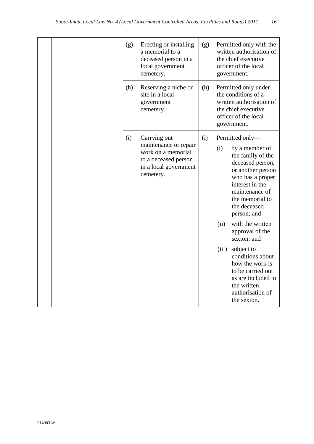| (g) | Erecting or installing<br>a memorial to a<br>deceased person in a<br>local government<br>cemetery.                        | (g) | Permitted only with the<br>written authorisation of<br>the chief executive<br>officer of the local<br>government.                                                                                                                                                                                                                                                                                                                          |
|-----|---------------------------------------------------------------------------------------------------------------------------|-----|--------------------------------------------------------------------------------------------------------------------------------------------------------------------------------------------------------------------------------------------------------------------------------------------------------------------------------------------------------------------------------------------------------------------------------------------|
| (h) | Reserving a niche or<br>site in a local<br>government<br>cemetery.                                                        | (h) | Permitted only under<br>the conditions of a<br>written authorisation of<br>the chief executive<br>officer of the local<br>government.                                                                                                                                                                                                                                                                                                      |
| (i) | Carrying out<br>maintenance or repair<br>work on a memorial<br>to a deceased person<br>in a local government<br>cemetery. | (i) | Permitted only-<br>(i)<br>by a member of<br>the family of the<br>deceased person,<br>or another person<br>who has a proper<br>interest in the<br>maintenance of<br>the memorial to<br>the deceased<br>person; and<br>with the written<br>(ii)<br>approval of the<br>sexton; and<br>subject to<br>(iii)<br>conditions about<br>how the work is<br>to be carried out<br>as are included in<br>the written<br>authorisation of<br>the sexton. |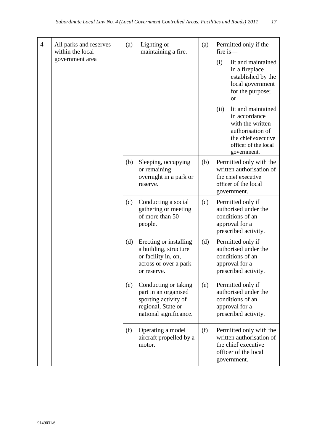| $\overline{4}$ | All parks and reserves<br>within the local | (a) | Lighting or<br>maintaining a fire.                                                                                   | (a) | Permitted only if the<br>fire is-                                                                                                                 |
|----------------|--------------------------------------------|-----|----------------------------------------------------------------------------------------------------------------------|-----|---------------------------------------------------------------------------------------------------------------------------------------------------|
|                | government area                            |     |                                                                                                                      |     | (i)<br>lit and maintained<br>in a fireplace<br>established by the<br>local government<br>for the purpose;<br><sub>or</sub>                        |
|                |                                            |     |                                                                                                                      |     | (ii)<br>lit and maintained<br>in accordance<br>with the written<br>authorisation of<br>the chief executive<br>officer of the local<br>government. |
|                |                                            | (b) | Sleeping, occupying<br>or remaining<br>overnight in a park or<br>reserve.                                            | (b) | Permitted only with the<br>written authorisation of<br>the chief executive<br>officer of the local<br>government.                                 |
|                |                                            | (c) | Conducting a social<br>gathering or meeting<br>of more than 50<br>people.                                            | (c) | Permitted only if<br>authorised under the<br>conditions of an<br>approval for a<br>prescribed activity.                                           |
|                |                                            | (d) | Erecting or installing<br>a building, structure<br>or facility in, on,<br>across or over a park<br>or reserve.       | (d) | Permitted only if<br>authorised under the<br>conditions of an<br>approval for a<br>prescribed activity.                                           |
|                |                                            | (e) | Conducting or taking<br>part in an organised<br>sporting activity of<br>regional, State or<br>national significance. | (e) | Permitted only if<br>authorised under the<br>conditions of an<br>approval for a<br>prescribed activity.                                           |
|                |                                            | (f) | Operating a model<br>aircraft propelled by a<br>motor.                                                               | (f) | Permitted only with the<br>written authorisation of<br>the chief executive<br>officer of the local<br>government.                                 |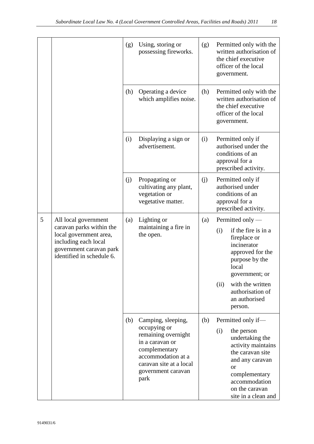|   |                                                                                                                                                            | (g) | Using, storing or<br>possessing fireworks.                                                                                                                                   | (g) | Permitted only with the<br>written authorisation of<br>the chief executive<br>officer of the local<br>government.                                                                                                            |
|---|------------------------------------------------------------------------------------------------------------------------------------------------------------|-----|------------------------------------------------------------------------------------------------------------------------------------------------------------------------------|-----|------------------------------------------------------------------------------------------------------------------------------------------------------------------------------------------------------------------------------|
|   |                                                                                                                                                            | (h) | Operating a device<br>which amplifies noise.                                                                                                                                 | (h) | Permitted only with the<br>written authorisation of<br>the chief executive<br>officer of the local<br>government.                                                                                                            |
|   |                                                                                                                                                            | (i) | Displaying a sign or<br>advertisement.                                                                                                                                       | (i) | Permitted only if<br>authorised under the<br>conditions of an<br>approval for a<br>prescribed activity.                                                                                                                      |
|   |                                                                                                                                                            | (j) | Propagating or<br>cultivating any plant,<br>vegetation or<br>vegetative matter.                                                                                              | (j) | Permitted only if<br>authorised under<br>conditions of an<br>approval for a<br>prescribed activity.                                                                                                                          |
| 5 | All local government<br>caravan parks within the<br>local government area,<br>including each local<br>government caravan park<br>identified in schedule 6. | (a) | Lighting or<br>maintaining a fire in<br>the open.                                                                                                                            | (a) | Permitted only $-$<br>if the fire is in a<br>(i)<br>fireplace or<br>incinerator<br>approved for the<br>purpose by the<br>local<br>government; or<br>with the written<br>(ii)<br>authorisation of<br>an authorised<br>person. |
|   |                                                                                                                                                            | (b) | Camping, sleeping,<br>occupying or<br>remaining overnight<br>in a caravan or<br>complementary<br>accommodation at a<br>caravan site at a local<br>government caravan<br>park | (b) | Permitted only if-<br>(i)<br>the person<br>undertaking the<br>activity maintains<br>the caravan site<br>and any caravan<br><b>or</b><br>complementary<br>accommodation<br>on the caravan<br>site in a clean and              |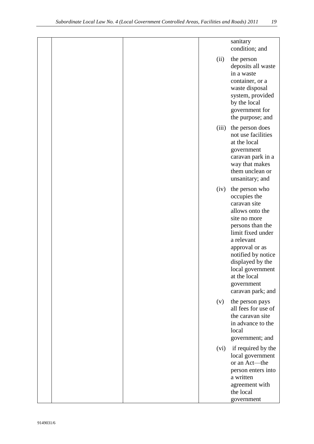|  |       | sanitary<br>condition; and                                                                                                                                                                                                                                                  |
|--|-------|-----------------------------------------------------------------------------------------------------------------------------------------------------------------------------------------------------------------------------------------------------------------------------|
|  | (ii)  | the person<br>deposits all waste<br>in a waste<br>container, or a<br>waste disposal<br>system, provided<br>by the local<br>government for<br>the purpose; and                                                                                                               |
|  | (iii) | the person does<br>not use facilities<br>at the local<br>government<br>caravan park in a<br>way that makes<br>them unclean or<br>unsanitary; and                                                                                                                            |
|  | (iv)  | the person who<br>occupies the<br>caravan site<br>allows onto the<br>site no more<br>persons than the<br>limit fixed under<br>a relevant<br>approval or as<br>notified by notice<br>displayed by the<br>local government<br>at the local<br>government<br>caravan park; and |
|  | (v)   | the person pays<br>all fees for use of<br>the caravan site<br>in advance to the<br>local<br>government; and                                                                                                                                                                 |
|  | (vi)  | if required by the<br>local government<br>or an Act-the<br>person enters into<br>a written<br>agreement with<br>the local<br>government                                                                                                                                     |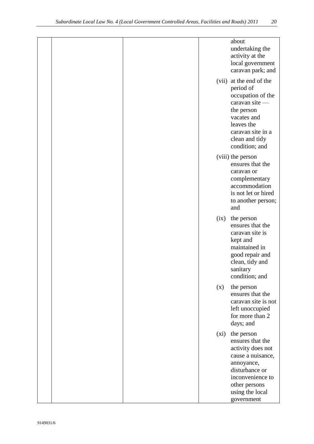|  |       | about<br>undertaking the<br>activity at the<br>local government<br>caravan park; and                                                                                           |
|--|-------|--------------------------------------------------------------------------------------------------------------------------------------------------------------------------------|
|  | (vii) | at the end of the<br>period of<br>occupation of the<br>caravan site -<br>the person<br>vacates and<br>leaves the<br>caravan site in a<br>clean and tidy<br>condition; and      |
|  |       | (viii) the person<br>ensures that the<br>caravan or<br>complementary<br>accommodation<br>is not let or hired<br>to another person;<br>and                                      |
|  | (ix)  | the person<br>ensures that the<br>caravan site is<br>kept and<br>maintained in<br>good repair and<br>clean, tidy and<br>sanitary<br>condition; and                             |
|  | (x)   | the person<br>ensures that the<br>caravan site is not<br>left unoccupied<br>for more than 2<br>days; and                                                                       |
|  | (xi)  | the person<br>ensures that the<br>activity does not<br>cause a nuisance,<br>annoyance,<br>disturbance or<br>inconvenience to<br>other persons<br>using the local<br>government |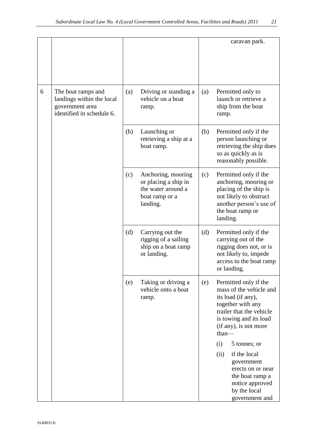|   |                                                                                                 |     |                                                                                                |     | caravan park.                                                                                                                                                                       |
|---|-------------------------------------------------------------------------------------------------|-----|------------------------------------------------------------------------------------------------|-----|-------------------------------------------------------------------------------------------------------------------------------------------------------------------------------------|
| 6 | The boat ramps and<br>landings within the local<br>government area<br>identified in schedule 6. | (a) | Driving or standing a<br>vehicle on a boat<br>ramp.                                            | (a) | Permitted only to<br>launch or retrieve a<br>ship from the boat<br>ramp.                                                                                                            |
|   |                                                                                                 | (b) | Launching or<br>retrieving a ship at a<br>boat ramp.                                           | (b) | Permitted only if the<br>person launching or<br>retrieving the ship does<br>so as quickly as is<br>reasonably possible.                                                             |
|   |                                                                                                 | (c) | Anchoring, mooring<br>or placing a ship in<br>the water around a<br>boat ramp or a<br>landing. | (c) | Permitted only if the<br>anchoring, mooring or<br>placing of the ship is<br>not likely to obstruct<br>another person's use of<br>the boat ramp or<br>landing.                       |
|   |                                                                                                 | (d) | Carrying out the<br>rigging of a sailing<br>ship on a boat ramp<br>or landing.                 | (d) | Permitted only if the<br>carrying out of the<br>rigging does not, or is<br>not likely to, impede<br>access to the boat ramp<br>or landing.                                          |
|   |                                                                                                 | (e) | Taking or driving a<br>vehicle onto a boat<br>ramp.                                            | (e) | Permitted only if the<br>mass of the vehicle and<br>its load (if any),<br>together with any<br>trailer that the vehicle<br>is towing and its load<br>(if any), is not more<br>than— |
|   |                                                                                                 |     |                                                                                                |     | (i)<br>5 tonnes; or                                                                                                                                                                 |
|   |                                                                                                 |     |                                                                                                |     | if the local<br>(ii)<br>government<br>erects on or near<br>the boat ramp a<br>notice approved<br>by the local<br>government and                                                     |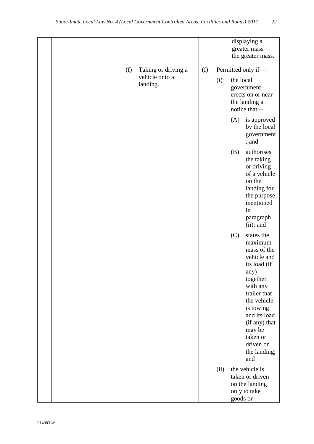|     |                            |     |      |           | displaying a<br>greater mass-<br>the greater mass.                                                                                                                                                                                         |
|-----|----------------------------|-----|------|-----------|--------------------------------------------------------------------------------------------------------------------------------------------------------------------------------------------------------------------------------------------|
| (f) | Taking or driving a        | (f) |      |           | Permitted only if-                                                                                                                                                                                                                         |
|     | vehicle onto a<br>landing. |     | (i)  | the local | government<br>erects on or near<br>the landing a<br>notice that-                                                                                                                                                                           |
|     |                            |     |      | (A)       | is approved<br>by the local<br>government<br>; and                                                                                                                                                                                         |
|     |                            |     |      | (B)       | authorises<br>the taking<br>or driving<br>of a vehicle<br>on the<br>landing for<br>the purpose<br>mentioned<br>in<br>paragraph<br>$(ii)$ ; and                                                                                             |
|     |                            |     |      | (C)       | states the<br>maximum<br>mass of the<br>vehicle and<br>its load (if<br>any)<br>together<br>with any<br>trailer that<br>the vehicle<br>is towing<br>and its load<br>(if any) that<br>may be<br>taken or<br>driven on<br>the landing;<br>and |
|     |                            |     | (ii) | goods or  | the vehicle is<br>taken or driven<br>on the landing<br>only to take                                                                                                                                                                        |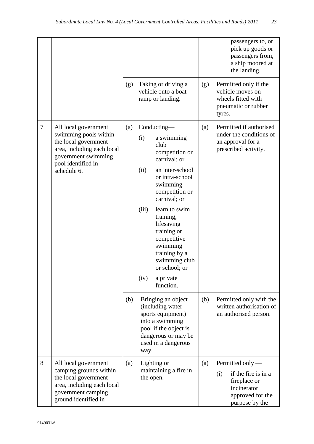|        |                                                                                                                                                                 |     |                                                                                                                                                                                                                                                                                                                          |     | passengers to, or<br>pick up goods or<br>passengers from,<br>a ship moored at<br>the landing.                       |
|--------|-----------------------------------------------------------------------------------------------------------------------------------------------------------------|-----|--------------------------------------------------------------------------------------------------------------------------------------------------------------------------------------------------------------------------------------------------------------------------------------------------------------------------|-----|---------------------------------------------------------------------------------------------------------------------|
|        |                                                                                                                                                                 | (g) | Taking or driving a<br>vehicle onto a boat<br>ramp or landing.                                                                                                                                                                                                                                                           | (g) | Permitted only if the<br>vehicle moves on<br>wheels fitted with<br>pneumatic or rubber<br>tyres.                    |
| $\tau$ | All local government<br>swimming pools within<br>the local government<br>area, including each local<br>government swimming<br>pool identified in<br>schedule 6. | (a) | Conducting—<br>(i)<br>a swimming<br>club<br>competition or<br>carnival; or<br>(ii)<br>an inter-school<br>or intra-school<br>swimming<br>competition or<br>carnival; or<br>(iii)<br>learn to swim<br>training,<br>lifesaving<br>training or<br>competitive<br>swimming<br>training by a<br>swimming club<br>or school; or | (a) | Permitted if authorised<br>under the conditions of<br>an approval for a<br>prescribed activity.                     |
|        |                                                                                                                                                                 |     | (iv)<br>a private<br>function.                                                                                                                                                                                                                                                                                           |     |                                                                                                                     |
|        |                                                                                                                                                                 | (b) | Bringing an object<br>(including water<br>sports equipment)<br>into a swimming<br>pool if the object is<br>dangerous or may be<br>used in a dangerous<br>way.                                                                                                                                                            | (b) | Permitted only with the<br>written authorisation of<br>an authorised person.                                        |
| 8      | All local government<br>camping grounds within<br>the local government<br>area, including each local<br>government camping<br>ground identified in              | (a) | Lighting or<br>maintaining a fire in<br>the open.                                                                                                                                                                                                                                                                        | (a) | Permitted only —<br>if the fire is in a<br>(i)<br>fireplace or<br>incinerator<br>approved for the<br>purpose by the |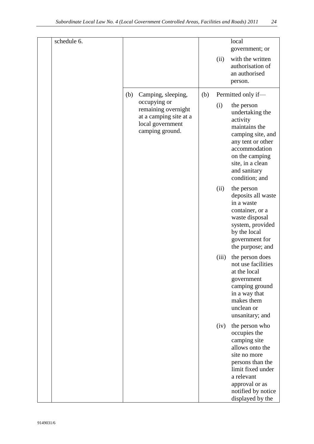| schedule 6. |     |                                                                                                      |     |       | local<br>government; or                                                                                                                                                                              |
|-------------|-----|------------------------------------------------------------------------------------------------------|-----|-------|------------------------------------------------------------------------------------------------------------------------------------------------------------------------------------------------------|
|             |     |                                                                                                      |     | (ii)  | with the written<br>authorisation of<br>an authorised<br>person.                                                                                                                                     |
|             | (b) | Camping, sleeping,                                                                                   | (b) |       | Permitted only if-                                                                                                                                                                                   |
|             |     | occupying or<br>remaining overnight<br>at a camping site at a<br>local government<br>camping ground. |     | (i)   | the person<br>undertaking the<br>activity<br>maintains the<br>camping site, and<br>any tent or other<br>accommodation<br>on the camping<br>site, in a clean<br>and sanitary<br>condition; and        |
|             |     |                                                                                                      |     | (ii)  | the person<br>deposits all waste<br>in a waste<br>container, or a<br>waste disposal<br>system, provided<br>by the local<br>government for<br>the purpose; and                                        |
|             |     |                                                                                                      |     | (iii) | the person does<br>not use facilities<br>at the local<br>government<br>camping ground<br>in a way that<br>makes them<br>unclean or<br>unsanitary; and                                                |
|             |     |                                                                                                      |     | (iv)  | the person who<br>occupies the<br>camping site<br>allows onto the<br>site no more<br>persons than the<br>limit fixed under<br>a relevant<br>approval or as<br>notified by notice<br>displayed by the |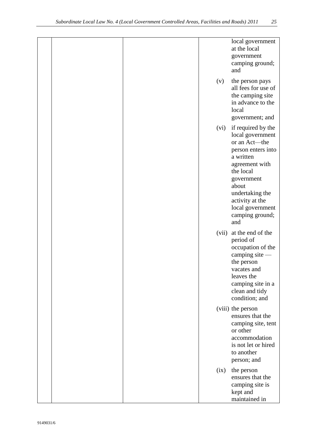|  |       | local government<br>at the local<br>government<br>camping ground;<br>and                                                                                                                                                             |
|--|-------|--------------------------------------------------------------------------------------------------------------------------------------------------------------------------------------------------------------------------------------|
|  | (v)   | the person pays<br>all fees for use of<br>the camping site<br>in advance to the<br>local<br>government; and                                                                                                                          |
|  | (vi)  | if required by the<br>local government<br>or an Act-the<br>person enters into<br>a written<br>agreement with<br>the local<br>government<br>about<br>undertaking the<br>activity at the<br>local government<br>camping ground;<br>and |
|  | (vii) | at the end of the<br>period of<br>occupation of the<br>camping site -<br>the person<br>vacates and<br>leaves the<br>camping site in a<br>clean and tidy<br>condition; and                                                            |
|  |       | (viii) the person<br>ensures that the<br>camping site, tent<br>or other<br>accommodation<br>is not let or hired<br>to another<br>person; and                                                                                         |
|  | (ix)  | the person<br>ensures that the<br>camping site is<br>kept and<br>maintained in                                                                                                                                                       |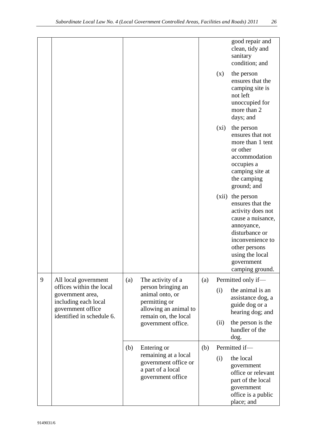|   |                                                                                                                                                                                                           |                      |                                                                                        |     |                                                                             | good repair and<br>clean, tidy and<br>sanitary<br>condition; and                                                                                                                                  |
|---|-----------------------------------------------------------------------------------------------------------------------------------------------------------------------------------------------------------|----------------------|----------------------------------------------------------------------------------------|-----|-----------------------------------------------------------------------------|---------------------------------------------------------------------------------------------------------------------------------------------------------------------------------------------------|
|   |                                                                                                                                                                                                           |                      |                                                                                        |     | (x)                                                                         | the person<br>ensures that the<br>camping site is<br>not left<br>unoccupied for<br>more than 2<br>days; and                                                                                       |
|   |                                                                                                                                                                                                           |                      |                                                                                        |     | $(x_i)$                                                                     | the person<br>ensures that not<br>more than 1 tent<br>or other<br>accommodation<br>occupies a<br>camping site at<br>the camping<br>ground; and                                                    |
|   |                                                                                                                                                                                                           |                      |                                                                                        |     | (xii)                                                                       | the person<br>ensures that the<br>activity does not<br>cause a nuisance,<br>annoyance,<br>disturbance or<br>inconvenience to<br>other persons<br>using the local<br>government<br>camping ground. |
| 9 | All local government                                                                                                                                                                                      | (a)                  | The activity of a                                                                      | (a) |                                                                             | Permitted only if-                                                                                                                                                                                |
|   | offices within the local<br>person bringing an<br>animal onto, or<br>government area,<br>including each local<br>permitting or<br>government office<br>allowing an animal to<br>identified in schedule 6. | remain on, the local |                                                                                        | (i) | the animal is an<br>assistance dog, a<br>guide dog or a<br>hearing dog; and |                                                                                                                                                                                                   |
|   |                                                                                                                                                                                                           |                      | government office.                                                                     |     | (ii)                                                                        | the person is the<br>handler of the<br>dog.                                                                                                                                                       |
|   |                                                                                                                                                                                                           | (b)                  | Entering or                                                                            | (b) |                                                                             | Permitted if-                                                                                                                                                                                     |
|   |                                                                                                                                                                                                           |                      | remaining at a local<br>government office or<br>a part of a local<br>government office |     | (i)                                                                         | the local<br>government<br>office or relevant<br>part of the local<br>government<br>office is a public<br>place; and                                                                              |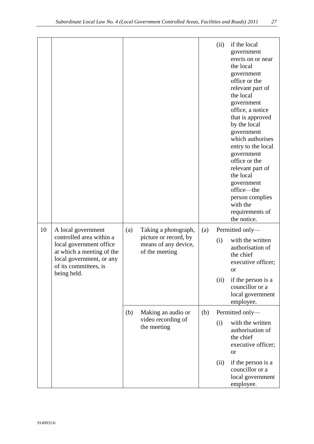|    |                                                                                                                                                                            |     |                                                                                         |     | (ii)        | if the local<br>government<br>erects on or near<br>the local<br>government<br>office or the<br>relevant part of<br>the local<br>government<br>office, a notice<br>that is approved<br>by the local<br>government<br>which authorises<br>entry to the local<br>government<br>office or the<br>relevant part of<br>the local<br>government<br>office-the<br>person complies<br>with the<br>requirements of<br>the notice. |  |
|----|----------------------------------------------------------------------------------------------------------------------------------------------------------------------------|-----|-----------------------------------------------------------------------------------------|-----|-------------|-------------------------------------------------------------------------------------------------------------------------------------------------------------------------------------------------------------------------------------------------------------------------------------------------------------------------------------------------------------------------------------------------------------------------|--|
| 10 | A local government<br>controlled area within a<br>local government office<br>at which a meeting of the<br>local government, or any<br>of its committees, is<br>being held. | (a) | Taking a photograph,<br>picture or record, by<br>means of any device,<br>of the meeting | (a) | (i)<br>(ii) | Permitted only-<br>with the written<br>authorisation of<br>the chief<br>executive officer;<br><b>or</b><br>if the person is a<br>councillor or a<br>local government<br>employee.                                                                                                                                                                                                                                       |  |
|    |                                                                                                                                                                            | (b) | Making an audio or                                                                      | (b) |             | Permitted only-                                                                                                                                                                                                                                                                                                                                                                                                         |  |
|    |                                                                                                                                                                            |     | video recording of<br>the meeting                                                       |     | (i)         | with the written                                                                                                                                                                                                                                                                                                                                                                                                        |  |
|    |                                                                                                                                                                            |     |                                                                                         |     |             | authorisation of<br>the chief<br>executive officer;<br><b>or</b>                                                                                                                                                                                                                                                                                                                                                        |  |
|    |                                                                                                                                                                            |     |                                                                                         |     | (ii)        | if the person is a<br>councillor or a<br>local government<br>employee.                                                                                                                                                                                                                                                                                                                                                  |  |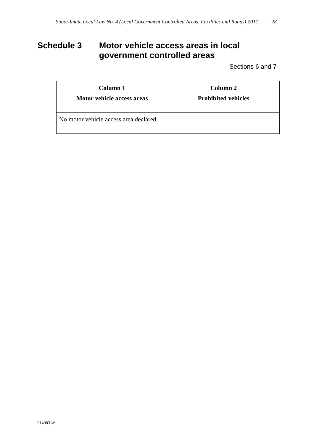# <span id="page-27-0"></span>**Schedule 3 Motor vehicle access areas in local government controlled areas**

Sections 6 and 7

| Column 1                               | Column <sub>2</sub>        |
|----------------------------------------|----------------------------|
| Motor vehicle access areas             | <b>Prohibited vehicles</b> |
| No motor vehicle access area declared. |                            |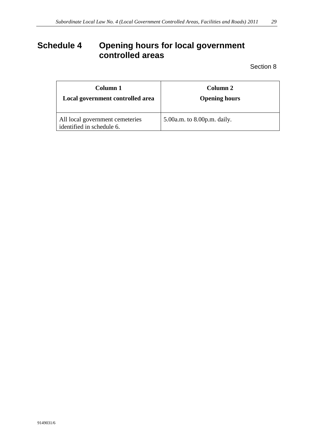# <span id="page-28-0"></span>**Schedule 4 Opening hours for local government controlled areas**

Section 8

| Column 1                                                     | Column 2                    |
|--------------------------------------------------------------|-----------------------------|
| Local government controlled area                             | <b>Opening hours</b>        |
| All local government cemeteries<br>identified in schedule 6. | 5.00a.m. to 8.00p.m. daily. |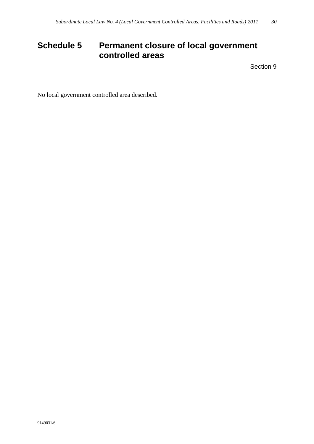# <span id="page-29-0"></span>**Schedule 5 Permanent closure of local government controlled areas**

Section 9

No local government controlled area described.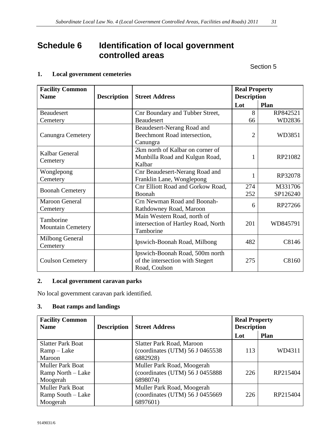# <span id="page-30-0"></span>**Schedule 6 Identification of local government controlled areas**

Section 5

### **1. Local government cemeteries**

| <b>Facility Common</b>                |                    |                                                                                      | <b>Real Property</b> |          |
|---------------------------------------|--------------------|--------------------------------------------------------------------------------------|----------------------|----------|
| <b>Name</b>                           | <b>Description</b> | <b>Street Address</b>                                                                | <b>Description</b>   |          |
|                                       |                    |                                                                                      | Lot                  | Plan     |
| <b>Beaudesert</b>                     |                    | Cnr Boundary and Tubber Street,                                                      | 8                    | RP842521 |
| Cemetery                              |                    | Beaudesert                                                                           | 66                   | WD2836   |
| <b>Canungra Cemetery</b>              |                    | Beaudesert-Nerang Road and<br>Beechmont Road intersection,<br>Canungra               | $\overline{2}$       | WD3851   |
| Kalbar General<br>Cemetery            |                    | 2km north of Kalbar on corner of<br>Munbilla Road and Kulgun Road,<br>Kalbar         | 1                    | RP21082  |
| Wonglepong<br>Cemetery                |                    | Cnr Beaudesert-Nerang Road and<br>Franklin Lane, Wonglepong                          | 1                    | RP32078  |
| <b>Boonah Cemetery</b>                |                    | Cnr Elliott Road and Gorkow Road,                                                    | 274                  | M331706  |
|                                       |                    | Boonah                                                                               | 252                  | SP126240 |
| <b>Maroon General</b><br>Cemetery     |                    | Crn Newman Road and Boonah-<br>Rathdowney Road, Maroon                               | 6                    | RP27266  |
| Tamborine<br><b>Mountain Cemetery</b> |                    | Main Western Road, north of<br>intersection of Hartley Road, North<br>Tamborine      | 201                  | WD845791 |
| <b>Milbong General</b><br>Cemetery    |                    | Ipswich-Boonah Road, Milbong                                                         | 482                  | C8146    |
| <b>Coulson Cemetery</b>               |                    | Ipswich-Boonah Road, 500m north<br>of the intersection with Stegert<br>Road, Coulson | 275                  | C8160    |

### **2. Local government caravan parks**

No local government caravan park identified.

### **3. Boat ramps and landings**

| <b>Facility Common</b><br><b>Name</b> | <b>Description</b> | <b>Street Address</b>           | <b>Real Property</b><br><b>Description</b> |             |
|---------------------------------------|--------------------|---------------------------------|--------------------------------------------|-------------|
|                                       |                    |                                 | Lot                                        | <b>Plan</b> |
| <b>Slatter Park Boat</b>              |                    | Slatter Park Road, Maroon       |                                            |             |
| $Ramp-Lake$                           |                    | (coordinates (UTM) 56 J 0465538 | 113                                        | WD4311      |
| Maroon                                |                    | 6882928)                        |                                            |             |
| <b>Muller Park Boat</b>               |                    | Muller Park Road, Moogerah      |                                            |             |
| Ramp North – Lake                     |                    | (coordinates (UTM) 56 J 0455888 | 226                                        | RP215404    |
| Moogerah                              |                    | 6898074)                        |                                            |             |
| <b>Muller Park Boat</b>               |                    | Muller Park Road, Moogerah      |                                            |             |
| Ramp South – Lake                     |                    | (coordinates (UTM) 56 J 0455669 | 226                                        | RP215404    |
| Moogerah                              |                    | 6897601)                        |                                            |             |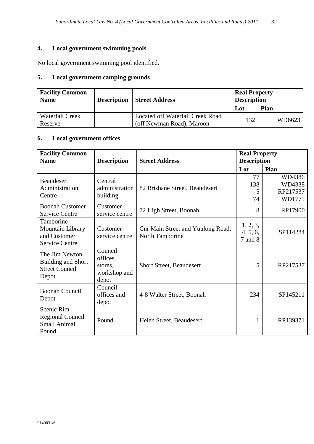### **4. Local government swimming pools**

No local government swimming pool identified.

### **5. Local government camping grounds**

| <b>Facility Common</b><br><b>Name</b> | <b>Description   Street Address</b>                           | <b>Real Property</b><br><b>Description</b> |             |  |
|---------------------------------------|---------------------------------------------------------------|--------------------------------------------|-------------|--|
|                                       |                                                               | Lot                                        | <b>Plan</b> |  |
| <b>Waterfall Creek</b><br>Reserve     | Located off Waterfall Creek Road<br>(off Newman Road), Maroon | 132                                        | WD6623      |  |

### **6. Local government offices**

| <b>Facility Common</b><br><b>Name</b>                                         | <b>Description</b>                                      | <b>Street Address</b>                                | <b>Real Property</b><br><b>Description</b> |                                        |
|-------------------------------------------------------------------------------|---------------------------------------------------------|------------------------------------------------------|--------------------------------------------|----------------------------------------|
|                                                                               |                                                         |                                                      | Lot                                        | Plan                                   |
| <b>Beaudesert</b><br>Administration<br>Centre                                 | Central<br>administration<br>building                   | 82 Brisbane Street, Beaudesert                       | 77<br>138<br>5<br>74                       | WD4386<br>WD4338<br>RP217537<br>WD1775 |
| <b>Boonah Customer</b><br><b>Service Centre</b>                               | Customer<br>service centre                              | 72 High Street, Boonah                               | 8                                          | RP17900                                |
| Tamborine<br>Mountain Library<br>and Customer<br><b>Service Centre</b>        | Customer<br>service centre                              | Cnr Main Street and Yuulong Road,<br>North Tamborine | 1, 2, 3,<br>4, 5, 6,<br>7 and 8            | SP114284                               |
| The Jim Newton<br><b>Building and Short</b><br><b>Street Council</b><br>Depot | Council<br>offices,<br>stores,<br>workshop and<br>depot | <b>Short Street, Beaudesert</b>                      | 5                                          | RP217537                               |
| <b>Boonah Council</b><br>Depot                                                | Council<br>offices and<br>depot                         | 4-8 Walter Street, Boonah                            | 234                                        | SP145211                               |
| Scenic Rim<br><b>Regional Council</b><br><b>Small Animal</b><br>Pound         | Pound                                                   | Helen Street, Beaudesert                             | 1                                          | RP139371                               |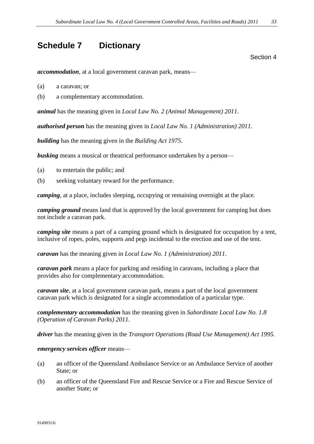### <span id="page-32-0"></span>**Schedule 7 Dictionary**

Section 4

*accommodation*, at a local government caravan park, means—

- (a) a caravan; or
- (b) a complementary accommodation.

*animal* has the meaning given in *Local Law No. 2 (Animal Management) 2011*.

*authorised person* has the meaning given in *Local Law No. 1 (Administration) 2011.*

*building* has the meaning given in the *Building Act 1975*.

**busking** means a musical or theatrical performance undertaken by a person—

- (a) to entertain the public; and
- (b) seeking voluntary reward for the performance.

*camping*, at a place, includes sleeping, occupying or remaining overnight at the place*.*

*camping ground* means land that is approved by the local government for camping but does not include a caravan park.

*camping site* means a part of a camping ground which is designated for occupation by a tent, inclusive of ropes, poles, supports and pegs incidental to the erection and use of the tent.

*caravan* has the meaning given in *Local Law No. 1 (Administration) 2011*.

*caravan park* means a place for parking and residing in caravans, including a place that provides also for complementary accommodation.

*caravan site*, at a local government caravan park, means a part of the local government caravan park which is designated for a single accommodation of a particular type.

*complementary accommodation* has the meaning given in *Subordinate Local Law No. 1.8 (Operation of Caravan Parks) 2011*.

*driver* has the meaning given in the *Transport Operations (Road Use Management) Act 1995.*

#### *emergency services officer* means—

- (a) an officer of the Queensland Ambulance Service or an Ambulance Service of another State; or
- (b) an officer of the Queensland Fire and Rescue Service or a Fire and Rescue Service of another State; or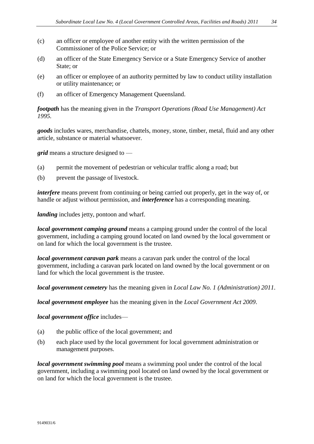- (c) an officer or employee of another entity with the written permission of the Commissioner of the Police Service; or
- (d) an officer of the State Emergency Service or a State Emergency Service of another State; or
- (e) an officer or employee of an authority permitted by law to conduct utility installation or utility maintenance; or
- (f) an officer of Emergency Management Queensland.

*footpath* has the meaning given in the *Transport Operations (Road Use Management) Act 1995.*

*goods* includes wares, merchandise, chattels, money, stone, timber, metal, fluid and any other article, substance or material whatsoever.

*grid* means a structure designed to —

- (a) permit the movement of pedestrian or vehicular traffic along a road; but
- (b) prevent the passage of livestock.

*interfere* means prevent from continuing or being carried out properly, get in the way of, or handle or adjust without permission, and *interference* has a corresponding meaning.

*landing* includes jetty, pontoon and wharf.

*local government camping ground* means a camping ground under the control of the local government, including a camping ground located on land owned by the local government or on land for which the local government is the trustee.

*local government caravan park* means a caravan park under the control of the local government, including a caravan park located on land owned by the local government or on land for which the local government is the trustee.

*local government cemetery* has the meaning given in *Local Law No. 1 (Administration) 2011*.

*local government employee* has the meaning given in the *Local Government Act 2009*.

#### *local government office* includes—

- (a) the public office of the local government; and
- (b) each place used by the local government for local government administration or management purposes.

*local government swimming pool* means a swimming pool under the control of the local government, including a swimming pool located on land owned by the local government or on land for which the local government is the trustee.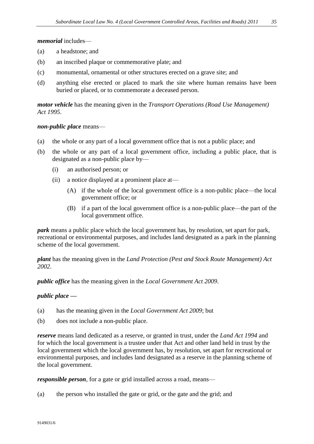#### *memorial* includes—

- (a) a headstone; and
- (b) an inscribed plaque or commemorative plate; and
- (c) monumental, ornamental or other structures erected on a grave site; and
- (d) anything else erected or placed to mark the site where human remains have been buried or placed, or to commemorate a deceased person.

*motor vehicle* has the meaning given in the *Transport Operations (Road Use Management) Act 1995*.

#### *non-public place* means—

- (a) the whole or any part of a local government office that is not a public place; and
- (b) the whole or any part of a local government office, including a public place, that is designated as a non-public place by—
	- (i) an authorised person; or
	- (ii) a notice displayed at a prominent place at—
		- (A) if the whole of the local government office is a non-public place—the local government office; or
		- (B) if a part of the local government office is a non-public place—the part of the local government office.

*park* means a public place which the local government has, by resolution, set apart for park, recreational or environmental purposes, and includes land designated as a park in the planning scheme of the local government.

*plant* has the meaning given in the *Land Protection (Pest and Stock Route Management) Act 2002*.

*public office* has the meaning given in the *Local Government Act 2009*.

#### *public place —*

- (a) has the meaning given in the *Local Government Act 2009*; but
- (b) does not include a non-public place.

*reserve* means land dedicated as a reserve, or granted in trust, under the *Land Act 1994* and for which the local government is a trustee under that Act and other land held in trust by the local government which the local government has, by resolution, set apart for recreational or environmental purposes, and includes land designated as a reserve in the planning scheme of the local government.

*responsible person*, for a gate or grid installed across a road, means—

(a) the person who installed the gate or grid, or the gate and the grid; and